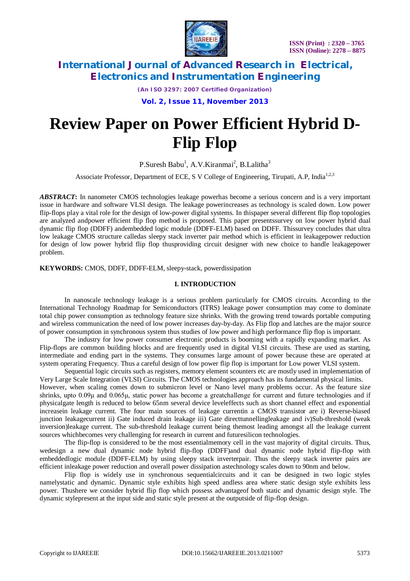

*(An ISO 3297: 2007 Certified Organization)*

**Vol. 2, Issue 11, November 2013**

# **Review Paper on Power Efficient Hybrid D-Flip Flop**

P.Suresh Babu<sup>1</sup>, A.V.Kiranmai<sup>2</sup>, B.Lalitha<sup>3</sup>

Associate Professor, Department of ECE, S V College of Engineering, Tirupati, A.P, India<sup>1,2,3</sup>

*ABSTRACT***:** In nanometer CMOS technologies leakage powerhas become a serious concern and is a very important issue in hardware and software VLSI design. The leakage powerincreases as technology is scaled down. Low power flip-flops play a vital role for the design of low-power digital systems*.* In thispaper several different flip flop topologies are analyzed andpower efficient flip flop method is proposed. This paper presentssurvey on low power hybrid dual dynamic flip flop (DDFF) andembedded logic module (DDFF-ELM) based on DDFF. Thissurvey concludes that ultra low leakage CMOS structure calledas sleepy stack inverter pair method which is efficient in leakagepower reduction for design of low power hybrid flip flop thusproviding circuit designer with new choice to handle leakagepower problem.

**KEYWORDS:** CMOS, DDFF, DDFF-ELM, sleepy-stack, powerdissipation

#### **I. INTRODUCTION**

In nanoscale technology leakage is a serious problem particularly for CMOS circuits. According to the International Technology Roadmap for Semiconductors (ITRS) leakage power consumption may come to dominate total chip power consumption as technology feature size shrinks. With the growing trend towards portable computing and wireless communication the need of low power increases day-by-day. As Flip flop and latches are the major source of power consumption in synchronous system thus studies of low power and high performance flip flop is important.

The industry for low power consumer electronic products is booming with a rapidly expanding market. As Flip-flops are common building blocks and are frequently used in digital VLSI circuits. These are used as starting, intermediate and ending part in the systems. They consumes large amount of power because these are operated at system operating Frequency. Thus a careful design of low power flip flop is important for Low power VLSI system.

Sequential logic circuits such as registers, memory element scounters etc are mostly used in implementation of Very Large Scale Integration (VLSI) Circuits. The CMOS technologies approach has its fundamental physical limits.

However, when scaling comes down to submicron level or Nano level many problems occur. As the feature size shrinks, upto 0.09μ and 0.065μ, static power has become a greatchallenge for current and future technologies and if physicalgate length is reduced to below 65nm several device leveleffects such as short channel effect and exponential increasein leakage current. The four main sources of leakage currentin a CMOS transistor are i) Reverse-biased junction leakagecurrent ii) Gate induced drain leakage iii) Gate directtunnellingleakage and iv)Sub-threshold (weak inversion)leakage current. The sub-threshold leakage current being themost leading amongst all the leakage current sources whichbecomes very challenging for research in current and futuresilicon technologies.

The flip-flop is considered to be the most essentialmemory cell in the vast majority of digital circuits. Thus, wedesign a new dual dynamic node hybrid flip-flop (DDFF)and dual dynamic node hybrid flip-flop with embeddedlogic module (DDFF-ELM) by using sleepy stack inverterpair. Thus the sleepy stack inverter pairs are efficient inleakage power reduction and overall power dissipation astechnology scales down to 90nm and below.

Flip flop is widely use in synchronous sequentialcircuits and it can be designed in two logic styles namelystatic and dynamic. Dynamic style exhibits high speed andless area where static design style exhibits less power. Thushere we consider hybrid flip flop which possess advantageof both static and dynamic design style. The dynamic stylepresent at the input side and static style present at the outputside of flip-flop design.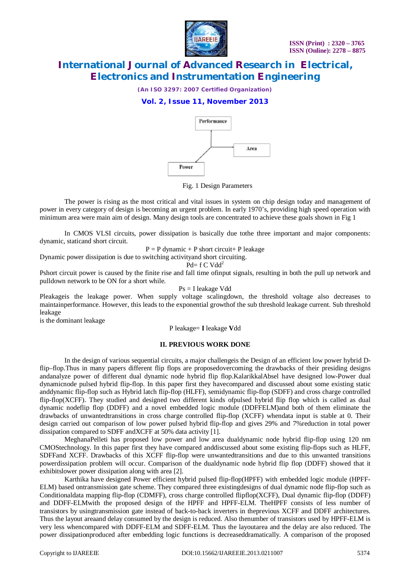

*(An ISO 3297: 2007 Certified Organization)*

### **Vol. 2, Issue 11, November 2013**



Fig. 1 Design Parameters

The power is rising as the most critical and vital issues in system on chip design today and management of power in every category of design is becoming an urgent problem. In early 1970's, providing high speed operation with minimum area were main aim of design. Many design tools are concentrated to achieve these goals shown in Fig 1

In CMOS VLSI circuits, power dissipation is basically due tothe three important and major components: dynamic, staticand short circuit.

 $P = P$  dynamic + P short circuit + P leakage

Dynamic power dissipation is due to switching activityand short circuiting.

Pd=  $f C V d d^2$ 

Pshort circuit power is caused by the finite rise and fall time ofinput signals, resulting in both the pull up network and pulldown network to be ON for a short while.

Ps = I leakage Vdd

Pleakageis the leakage power. When supply voltage scalingdown, the threshold voltage also decreases to maintainperformance. However, this leads to the exponential growthof the sub threshold leakage current. Sub threshold leakage

is the dominant leakage

P leakage= **I** leakage **V**dd

#### **II. PREVIOUS WORK DONE**

In the design of various sequential circuits, a major challengeis the Design of an efficient low power hybrid Dflip–flop.Thus in many papers different flip flops are proposedovercoming the drawbacks of their presiding designs andanalyze power of different dual dynamic node hybrid flip flop.KalarikkalAbsel have designed low-Power dual dynamicnode pulsed hybrid flip-flop. In this paper first they havecompared and discussed about some existing static anddynamic flip-flop such as Hybrid latch flip-flop (HLFF), semidynamic flip-flop (SDFF) and cross charge controlled flip-flop(XCFF). They studied and designed two different kinds ofpulsed hybrid flip flop which is called as dual dynamic nodeflip flop (DDFF) and a novel embedded logic module (DDFFELM)and both of them eliminate the drawbacks of unwantedtransitions in cross charge controlled flip-flop (XCFF) whendata input is stable at 0. Their design carried out comparison of low power pulsed hybrid flip-flop and gives 29% and 7%reduction in total power dissipation compared to SDFF andXCFF at 50% data activity [1].

MeghanaPelleti has proposed low power and low area dualdynamic node hybrid flip-flop using 120 nm CMOStechnology. In this paper first they have compared anddiscussed about some existing flip-flops such as HLFF, SDFFand XCFF. Drawbacks of this XCFF flip-flop were unwantedtransitions and due to this unwanted transitions powerdissipation problem will occur. Comparison of the dualdynamic node hybrid flip flop (DDFF) showed that it exhibitslower power dissipation along with area [2].

Karthika have designed Power efficient hybrid pulsed flip-flop(HPFF) with embedded logic module (HPFF-ELM) based ontransmission gate scheme. They compared three existingdesigns of dual dynamic node flip-flop such as Conditionaldata mapping flip-flop (CDMFF), cross charge controlled flipflop(XCFF), Dual dynamic flip-flop (DDFF) and DDFF-ELMwith the proposed design of the HPFF and HPFF-ELM. TheHPFF consists of less number of transistors by usingtransmission gate instead of back-to-back inverters in theprevious XCFF and DDFF architectures. Thus the layout areaand delay consumed by the design is reduced. Also thenumber of transistors used by HPFF-ELM is very less whencompared with DDFF-ELM and SDFF-ELM. Thus the layoutarea and the delay are also reduced. The power dissipationproduced after embedding logic functions is decreaseddramatically. A comparison of the proposed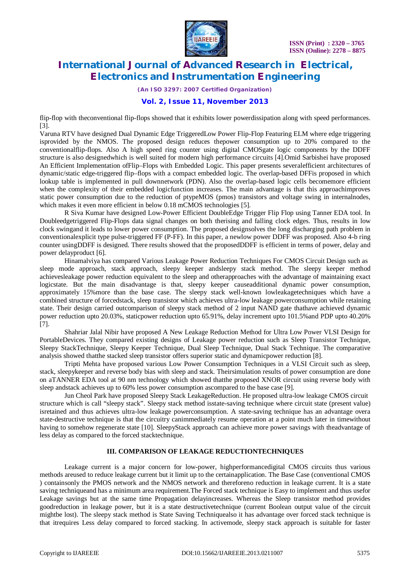

*(An ISO 3297: 2007 Certified Organization)*

### **Vol. 2, Issue 11, November 2013**

flip-flop with theconventional flip-flops showed that it exhibits lower powerdissipation along with speed performances. [3].

Varuna RTV have designed Dual Dynamic Edge TriggeredLow Power Flip-Flop Featuring ELM where edge triggering isprovided by the NMOS. The proposed design reduces thepower consumption up to 20% compared to the conventionalflip-flops. Also A high speed ring counter using digital CMOSgate logic components by the DDFF structure is also designedwhich is well suited for modern high performance circuits [4].Omid Sarbishei have proposed An Efficient Implementation ofFlip–Flops with Embedded Logic. This paper presents severalefficient architectures of dynamic/static edge-triggered flip–flops with a compact embedded logic. The overlap-based DFFis proposed in which lookup table is implemented in pull downnetwork (PDN). Also the overlap-based logic cells becomemore efficient when the complexity of their embedded logicfunction increases. The main advantage is that this approachimproves static power consumption due to the reduction of ptypeMOS (pmos) transistors and voltage swing in internalnodes, which makes it even more efficient in below 0.18 mCMOS technologies [5].

R Siva Kumar have designed Low-Power Efficient DoubleEdge Trigger Flip Flop using Tanner EDA tool. In Doubleedgetriggered Flip-Flops data signal changes on both therising and falling clock edges. Thus, results in low clock swingand it leads to lower power consumption. The proposed designsolves the long discharging path problem in conventionalexplicit type pulse-triggered FF (P-FF). In this paper, a newlow power DDFF was proposed. Also 4-b ring counter usingDDFF is designed. There results showed that the proposedDDFF is efficient in terms of power, delay and power delayproduct [6].

Hinamalviya has compared Various Leakage Power Reduction Techniques For CMOS Circuit Design such as sleep mode approach, stack approach, sleepy keeper andsleepy stack method. The sleepy keeper method achievesleakage power reduction equivalent to the sleep and otherapproaches with the advantage of maintaining exact logicstate. But the main disadvantage is that, sleepy keeper causeadditional dynamic power consumption, approximately 15%more than the base case. The sleepy stack well-known lowleakagetechniques which have a combined structure of forcedstack, sleep transistor which achieves ultra-low leakage powerconsumption while retaining state. Their design carried outcomparison of sleepy stack method of 2 input NAND gate thathave achieved dynamic power reduction upto 20.03%, staticpower reduction upto 65.91%, delay increment upto 101.5%and PDP upto 40.20% [7].

Shahriar Jalal Nibir have proposed A New Leakage Reduction Method for Ultra Low Power VLSI Design for PortableDevices. They compared existing designs of Leakage power reduction such as Sleep Transistor Technique, Sleepy StackTechnique, Sleepy Keeper Technique, Dual Sleep Technique, Dual Stack Technique. The comparative analysis showed thatthe stacked sleep transistor offers superior static and dynamicpower reduction [8].

Tripti Mehta have proposed various Low Power Consumption Techniques in a VLSI Circuit such as sleep, stack, sleepykeeper and reverse body bias with sleep and stack. Theirsimulation results of power consumption are done on aTANNER EDA tool at 90 nm technology which showed thatthe proposed XNOR circuit using reverse body with sleep andstack achieves up to 60% less power consumption ascompared to the base case [9].

Jun Cheol Park have proposed Sleepy Stack LeakageReduction. He proposed ultra-low leakage CMOS circuit structure which is call "sleepy stack". Sleepy stack method isstate-saving technique where circuit state (present value) isretained and thus achieves ultra-low leakage powerconsumption. A state-saving technique has an advantage overa state-destructive technique is that the circuitry canimmediately resume operation at a point much later in timewithout having to somehow regenerate state [10]. SleepyStack approach can achieve more power savings with theadvantage of less delay as compared to the forced stacktechnique.

#### **III. COMPARISON OF LEAKAGE REDUCTIONTECHNIQUES**

Leakage current is a major concern for low-power, highperformancedigital CMOS circuits thus various methods areused to reduce leakage current but it limit up to the certainapplication. The Base Case (conventional CMOS ) containsonly the PMOS network and the NMOS network and thereforeno reduction in leakage current. It is a state saving techniqueand has a minimum area requirement.The Forced stack technique is Easy to implement and thus usefor Leakage savings but at the same time Propagation delayincreases. Whereas the Sleep transistor method provides goodreduction in leakage power, but it is a state destructivetechnique (current Boolean output value of the circuit mightbe lost). The sleepy stack method is State Saving Techniquealso it has advantage over forced stack technique is that itrequires Less delay compared to forced stacking. In activemode, sleepy stack approach is suitable for faster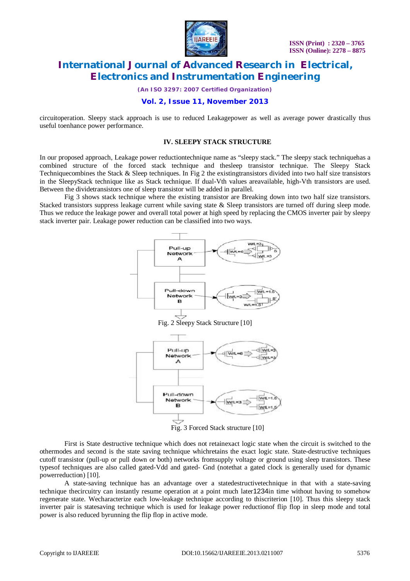

*(An ISO 3297: 2007 Certified Organization)*

### **Vol. 2, Issue 11, November 2013**

circuitoperation. Sleepy stack approach is use to reduced Leakagepower as well as average power drastically thus useful toenhance power performance.

#### **IV. SLEEPY STACK STRUCTURE**

In our proposed approach, Leakage power reductiontechnique name as "sleepy stack." The sleepy stack techniquehas a combined structure of the forced stack technique and thesleep transistor technique. The Sleepy Stack Techniquecombines the Stack & Sleep techniques. In Fig 2 the existingtransistors divided into two half size transistors in the SleepyStack technique like as Stack technique. If dual-Vth values areavailable, high-Vth transistors are used. Between the dividetransistors one of sleep transistor will be added in parallel.

Fig 3 shows stack technique where the existing transistor are Breaking down into two half size transistors. Stacked transistors suppress leakage current while saving state & Sleep transistors are turned off during sleep mode. Thus we reduce the leakage power and overall total power at high speed by replacing the CMOS inverter pair by sleepy stack inverter pair. Leakage power reduction can be classified into two ways.



Fig. 2 Sleepy Stack Structure [10]



Fig. 3 Forced Stack structure [10]

First is State destructive technique which does not retainexact logic state when the circuit is switched to the othermodes and second is the state saving technique whichretains the exact logic state. State-destructive techniques cutoff transistor (pull-up or pull down or both) networks fromsupply voltage or ground using sleep transistors. These typesof techniques are also called gated-Vdd and gated- Gnd (notethat a gated clock is generally used for dynamic powerreduction) [10].

A state-saving technique has an advantage over a statedestructivetechnique in that with a state-saving technique thecircuitry can instantly resume operation at a point much later1234in time without having to somehow regenerate state. Wecharacterize each low-leakage technique according to thiscriterion [10]. Thus this sleepy stack inverter pair is statesaving technique which is used for leakage power reductionof flip flop in sleep mode and total power is also reduced byrunning the flip flop in active mode.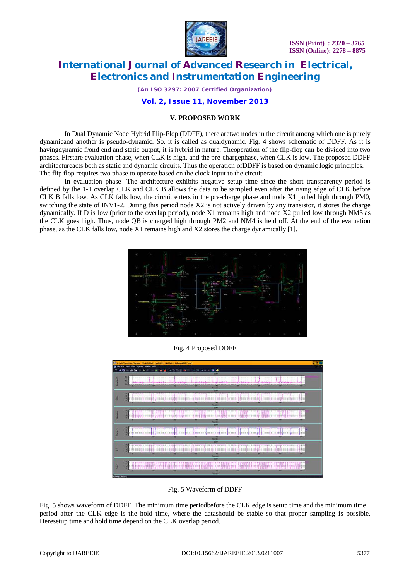

*(An ISO 3297: 2007 Certified Organization)*

#### **Vol. 2, Issue 11, November 2013**

#### **V. PROPOSED WORK**

In Dual Dynamic Node Hybrid Flip-Flop (DDFF), there aretwo nodes in the circuit among which one is purely dynamicand another is pseudo-dynamic. So, it is called as dualdynamic. Fig. 4 shows schematic of DDFF. As it is havingdynamic frond end and static output, it is hybrid in nature. Theoperation of the flip-flop can be divided into two phases. Firstare evaluation phase, when CLK is high, and the pre-chargephase, when CLK is low. The proposed DDFF architectureacts both as static and dynamic circuits. Thus the operation ofDDFF is based on dynamic logic principles. The flip flop requires two phase to operate based on the clock input to the circuit.

In evaluation phase- The architecture exhibits negative setup time since the short transparency period is defined by the 1-1 overlap CLK and CLK B allows the data to be sampled even after the rising edge of CLK before CLK B falls low. As CLK falls low, the circuit enters in the pre-charge phase and node X1 pulled high through PM0, switching the state of INV1-2. During this period node  $X2$  is not actively driven by any transistor, it stores the charge dynamically. If D is low (prior to the overlap period), node X1 remains high and node X2 pulled low through NM3 as the CLK goes high. Thus, node QB is charged high through PM2 and NM4 is held off. At the end of the evaluation phase, as the CLK falls low, node X1 remains high and X2 stores the charge dynamically [1].



Fig. 4 Proposed DDFF

|   | Edit Waveform Viewer - [C:VIDCLINE-TWDNINI-TV OCALS-TVTemp/DDFF.out]<br>View Chart Options Window Help                                                                                                                                                                                                                                                                                                                                                                                                                                                                                                                                                                                                                                                                                                                                                                                                                                                                                                                 |  |
|---|------------------------------------------------------------------------------------------------------------------------------------------------------------------------------------------------------------------------------------------------------------------------------------------------------------------------------------------------------------------------------------------------------------------------------------------------------------------------------------------------------------------------------------------------------------------------------------------------------------------------------------------------------------------------------------------------------------------------------------------------------------------------------------------------------------------------------------------------------------------------------------------------------------------------------------------------------------------------------------------------------------------------|--|
|   | 162.<br>nijom monum prijem monum prijom monum prijum monum prijum monum prijem monum prijem monum priju                                                                                                                                                                                                                                                                                                                                                                                                                                                                                                                                                                                                                                                                                                                                                                                                                                                                                                                |  |
|   | M <sub>3</sub><br>ingnonpyrenter <mark>ing</mark> apparent in particular provided and account to the component of the component of the component of any component of the component of the component of the component of the component of the component of th<br>Հայոցների շատահանի վանդերի կատահանի հանրապետության կատահանի համար կատահանի հանրապետ կատահանի անվանդերի հատ<br><b>Drug (bul)</b><br>2099                                                                                                                                                                                                                                                                                                                                                                                                                                                                                                                                                                                                                |  |
|   | 12.4<br>SCHEENINGS COLLEGE COMPOSITION COLLEGE SCHEDULE SCHEENINGS COLLEGE SCHEDULE SCHEDULE SCHEDULE SCHEDULE SCHEDULE SCHEDULE SCHEDULE SCHEDULE SCHEDULE SCHEDULE SCHEDULE SCHEDULE SCHEDULE SCHEDULE SCHEDULE SCHEDULE SCHEDULE SC<br><br>344<br><br><u>restaurantes de la composición de la composición de la componentación de la composición de la componentación d</u><br>at more in the state in the state in the state of the state of the state of the state in the state of the state of the state of the<br>887<br>≖<br><b>Sime (Ind)</b><br>3093                                                                                                                                                                                                                                                                                                                                                                                                                                                         |  |
|   | <br>The complete the complete the complete the complete the complete the complete the complete the complete the complete the complete the complete the complete the complete the complete the complete the complete the complete t<br><br>The plan is the state of the state of the state of the state of the state of the state of the state of the state of the state of the state of the state of the state of the state of the state of the state of the state of th<br>44<br><br>m<br>-<br><b>Dealers</b>                                                                                                                                                                                                                                                                                                                                                                                                                                                                                                         |  |
|   | 3383<br>--------<br>------<br>-------<br>------<br><br>-------<br>-----<br>-----<br>------<br>------<br>381<br>----------<br><b>SAFEFEED FORESTERS</b><br>--------<br>--------<br>.<br><b>ATA IS A A A A A</b><br><b>Controller State State State</b><br>. <i>.</i> .<br>---------<br>-------<br>a way to be detected<br><b></b><br>the common relationships of the common distributions of the common of common relationships of the common of the<br>de decorrecte de contra e de la contra condita con el el educacion en la contra de la con-<br>183<br><b>A</b> consumers<br><b>ARRIVERS</b><br><b>ACCEPTED ACCEPTED</b><br>--------<br><b>ARRAIGHT</b><br><b></b><br><b>LESSENGER CENTSE</b><br><b></b><br><b><i><u>PARKERS</u></i></b><br><b></b><br><br><b></b><br>$-0.00$<br><b>ASSESSMENT PERSONAL</b><br><b>Industrial Contracts</b><br>--------<br><b>FREGISH</b><br><b>A</b><br><b>LEGENHALL CONSUL</b><br><b><i><u>ALCOHOLOGIA ARRESTE</u></i></b><br><br><br>w<br>w<br><b>With</b><br><b>Toma (Sell</b> |  |
| ۰ | <b>MAK</b><br>12<br>a portare and a distribution of a<br>.<br>384<br>127<br><b>A. A. A. LEWIS CO., LANSING</b><br><br><b>ATTACHED</b><br>1.000333333333333<br>≖<br><b>Sea Dall</b><br><b>BOFF</b>                                                                                                                                                                                                                                                                                                                                                                                                                                                                                                                                                                                                                                                                                                                                                                                                                      |  |
|   | <br>IN IT PERSONAL REVIEW IN 1980 DERIVATION OF PERSONAL PROVINCING PROVINCING THE RESIDENCE OF THE INFORMATION OF<br>22.4<br>the control of the control of the control of the control of the control of the control of the control of the control of the control of the control of the control of the control of the control of the control of the control<br>12.4<br>ri i se njegov podatelja u predstavanju se na predstavanju se predstavanju se predstavanju u predstavanju se p<br>m<br>≖<br>-<br>≖<br>-<br><b>Small</b> Bull                                                                                                                                                                                                                                                                                                                                                                                                                                                                                    |  |

Fig. 5 Waveform of DDFF

Fig. 5 shows waveform of DDFF. The minimum time periodbefore the CLK edge is setup time and the minimum time period after the CLK edge is the hold time, where the datashould be stable so that proper sampling is possible. Heresetup time and hold time depend on the CLK overlap period.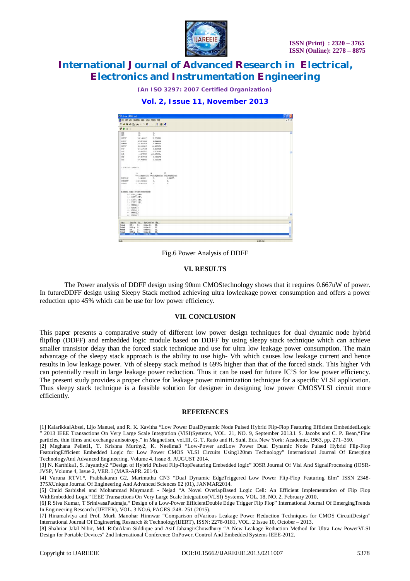

*(An ISO 3297: 2007 Certified Organization)*



| T Spice - IDDFF.out)<br>St Fle Edit Vern Smuletion Table Setup Window Help |                                                               |            |              |               |  |
|----------------------------------------------------------------------------|---------------------------------------------------------------|------------|--------------|---------------|--|
|                                                                            |                                                               |            |              |               |  |
| $R$ + = $\pm$                                                              |                                                               |            |              |               |  |
| $-000$<br>GBS                                                              | 0.<br>0.7                                                     | 0.<br>0.   |              | A             |  |
| COTOT                                                                      | 26.14333f                                                     | 7.561761   |              |               |  |
| COTOT                                                                      | 19.875646                                                     | 4.591991   |              |               |  |
| caron                                                                      | 56.465426                                                     | 4.744224   |              |               |  |
| CSTOT                                                                      | 68.286435                                                     | 11.497678  |              |               |  |
| $08$                                                                       | 12.113545                                                     | 2.159421   |              |               |  |
| 000                                                                        | 6,68535f                                                      | 2.20989f   |              | ш             |  |
| $-0.08$                                                                    | 1.074786                                                      | 222.66326m |              |               |  |
| CBD                                                                        | 19.45790f                                                     | S.32557f   |              |               |  |
| $05$                                                                       | 47.744902                                                     | 5.32559f   |              |               |  |
| * VOLTAGE SOURCES                                                          |                                                               |            |              |               |  |
|                                                                            | 18<br>19                                                      | 10         |              |               |  |
|                                                                            | WoltageSourc WoltageSourc WoltageSourc                        |            |              |               |  |
| <b>VOLTAGE</b>                                                             | 3.00000                                                       | 0.         | 3,00000      |               |  |
| <b>CURRENT</b>                                                             | $-222.340410$                                                 | 0.         | $\mathbf{0}$ |               |  |
| <b>DOUTE</b>                                                               | $-CC7.02122n$                                                 | b.<br>n.   |              |               |  |
|                                                                            | Element name cross-reference:                                 |            |              |               |  |
|                                                                            | $0.1$ XDW $1.001$                                             |            |              |               |  |
|                                                                            | 1:XIW 1.MP1                                                   |            |              |               |  |
|                                                                            | 1 : XDW 2.MM1                                                 |            |              |               |  |
|                                                                            | 3   XINV 2. MP1                                               |            |              |               |  |
|                                                                            | 4   10/809 0                                                  |            |              |               |  |
|                                                                            | 5:000064                                                      |            |              |               |  |
|                                                                            | $6:$ RNROS S<br>$7:$ mmon $6$                                 |            |              |               |  |
|                                                                            | $A$ : monos $A$                                               |            |              |               |  |
|                                                                            |                                                               |            |              | ž             |  |
| <b>Status</b>                                                              | Input file Out Start Date/Time Big<br>Otheber 16 00<br>con p. |            |              |               |  |
| fritted<br>frished                                                         | Otheber 16 00<br>DOWLAR D.L.                                  |            |              |               |  |
| frished                                                                    | $DP_{\text{max}} = 0.1$<br>Other It., 01.,                    |            |              |               |  |
| <b>frished</b>                                                             | DPP.ip D.,<br>Otheber 16 00                                   |            |              |               |  |
| trated                                                                     | Divide It 00<br>DOPLIN: 0.                                    |            |              |               |  |
|                                                                            |                                                               |            |              |               |  |
| <b>Dearly</b>                                                              |                                                               |            |              | 16.265. Col.1 |  |

Fig.6 Power Analysis of DDFF

#### **VI. RESULTS**

The Power analysis of DDFF design using 90nm CMOStechnology shows that it requires 0.667uW of power. In futureDDFF design using Sleepy Stack method achieving ultra lowleakage power consumption and offers a power reduction upto 45% which can be use for low power efficiency.

#### **VII. CONCLUSION**

This paper presents a comparative study of different low power design techniques for dual dynamic node hybrid flipflop (DDFF) and embedded logic module based on DDFF by using sleepy stack technique which can achieve smaller transistor delay than the forced stack technique and use for ultra low leakage power consumption. The main advantage of the sleepy stack approach is the ability to use high- Vth which causes low leakage current and hence results in low leakage power. Vth of sleepy stack method is 69% higher than that of the forced stack. This higher Vth can potentially result in large leakage power reduction. Thus it can be used for future IC'S for low power efficiency. The present study provides a proper choice for leakage power minimization technique for a specific VLSI application. Thus sleepy stack technique is a feasible solution for designer in designing low power CMOSVLSI circuit more efficiently.

#### **REFERENCES**

<sup>[1]</sup> KalarikkalAbsel, Lijo Manuel, and R. K. Kavitha "Low Power DualDynamic Node Pulsed Hybrid Flip-Flop Featuring Efficient EmbeddedLogic 2013 IEEE Transactions On Very Large Scale Integration (VISI)Systems, VOL. 21, NO. 9, September 2013.I. S. Jacobs and C. P. Bean, "Fine particles, thin films and exchange anisotropy," in Magnetism, vol.III, G. T. Rado and H. Suhl, Eds. New York: Academic, 1963, pp. 271–350.

<sup>[2]</sup> Meghana Pelleti1, T. Krishna Murthy2, K. Neelima3 "Low-Power andLow Power Dual Dynamic Node Pulsed Hybrid Flip-Flop FeaturingEfficient Embedded Logic for Low Power CMOS VLSI Circuits Using120nm Technology" International Journal Of Emerging TechnologyAnd Advanced Engineering, Volume 4, Issue 8, AUGUST 2014.

<sup>[3]</sup> N. Karthika1, S. Jayanthy2 "Design of Hybrid Pulsed Flip-FlopFeaturing Embedded logic" IOSR Journal Of Vlsi And SignalProcessing (IOSR-JVSP, Volume 4, Issue 2, VER. I (MAR-APR. 2014).

<sup>[4]</sup> Varuna RTV1\*, Prabhakaran G2, Marimuthu CN3 "Dual Dynamic EdgeTriggered Low Power Flip-Flop Featuring Elm" ISSN 2348- 375XUnique Journal Of Engineering And Advanced Sciences 02 (01), JANMAR2014.

<sup>[5]</sup> Omid Sarbishei and Mohammad Maymandi - Nejad "A Novel OverlapBased Logic Cell: An Efficient Implementation of Flip Flop WithEmbedded Logic" IEEE Transactions On Very Large Scale Integration(VLSI) Systems, VOL. 18, NO. 2, February 2010,

<sup>[6]</sup> R Siva Kumar, T SrinivasaPadmaja," Design of a Low-Power EfficientDouble Edge Trigger Flip Flop" International Journal Of EmergingTrends In Engineering Research (IJETER), VOL. 3 NO.6, PAGES :248- 251 (2015).

<sup>[7]</sup> Hinamalviya and Prof. Murli Manohar Hinnwar "Comparison ofVarious Leakage Power Reduction Techniques for CMOS CircuitDesign" International Journal Of Engineering Research & Technology(IJERT), ISSN: 2278-0181, VOL. 2 Issue 10, October – 2013.

<sup>[8]</sup> Shahriar Jalal Nibir, Md. RifatAlam Siddique and Asif JahangirChowdhury "A New Leakage Reduction Method for Ultra Low PowerVLSI Design for Portable Devices" 2nd International Conference OnPower, Control And Embedded Systems IEEE-2012.